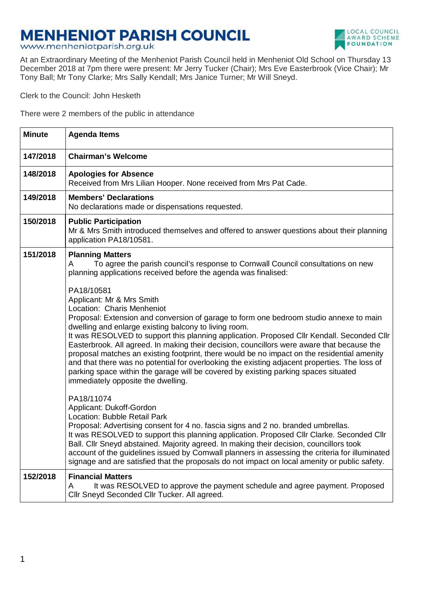## **MENHENIOT PARISH COUNCIL**

www.menheniotparish.org.uk



At an Extraordinary Meeting of the Menheniot Parish Council held in Menheniot Old School on Thursday 13 December 2018 at 7pm there were present: Mr Jerry Tucker (Chair); Mrs Eve Easterbrook (Vice Chair); Mr Tony Ball; Mr Tony Clarke; Mrs Sally Kendall; Mrs Janice Turner; Mr Will Sneyd.

Clerk to the Council: John Hesketh

There were 2 members of the public in attendance

| <b>Minute</b> | <b>Agenda Items</b>                                                                                                                                                                                                                                                                                                                                                                                                                                                                                                                                                                                                                                                                                                                               |  |  |  |  |  |
|---------------|---------------------------------------------------------------------------------------------------------------------------------------------------------------------------------------------------------------------------------------------------------------------------------------------------------------------------------------------------------------------------------------------------------------------------------------------------------------------------------------------------------------------------------------------------------------------------------------------------------------------------------------------------------------------------------------------------------------------------------------------------|--|--|--|--|--|
| 147/2018      | <b>Chairman's Welcome</b>                                                                                                                                                                                                                                                                                                                                                                                                                                                                                                                                                                                                                                                                                                                         |  |  |  |  |  |
| 148/2018      | <b>Apologies for Absence</b><br>Received from Mrs Lilian Hooper. None received from Mrs Pat Cade.                                                                                                                                                                                                                                                                                                                                                                                                                                                                                                                                                                                                                                                 |  |  |  |  |  |
| 149/2018      | <b>Members' Declarations</b><br>No declarations made or dispensations requested.                                                                                                                                                                                                                                                                                                                                                                                                                                                                                                                                                                                                                                                                  |  |  |  |  |  |
| 150/2018      | <b>Public Participation</b><br>Mr & Mrs Smith introduced themselves and offered to answer questions about their planning<br>application PA18/10581.                                                                                                                                                                                                                                                                                                                                                                                                                                                                                                                                                                                               |  |  |  |  |  |
| 151/2018      | <b>Planning Matters</b><br>To agree the parish council's response to Cornwall Council consultations on new<br>A<br>planning applications received before the agenda was finalised:                                                                                                                                                                                                                                                                                                                                                                                                                                                                                                                                                                |  |  |  |  |  |
|               | PA18/10581<br>Applicant: Mr & Mrs Smith<br>Location: Charis Menheniot<br>Proposal: Extension and conversion of garage to form one bedroom studio annexe to main<br>dwelling and enlarge existing balcony to living room.<br>It was RESOLVED to support this planning application. Proposed Cllr Kendall. Seconded Cllr<br>Easterbrook. All agreed. In making their decision, councillors were aware that because the<br>proposal matches an existing footprint, there would be no impact on the residential amenity<br>and that there was no potential for overlooking the existing adjacent properties. The loss of<br>parking space within the garage will be covered by existing parking spaces situated<br>immediately opposite the dwelling. |  |  |  |  |  |
|               | PA18/11074<br>Applicant: Dukoff-Gordon<br>Location: Bubble Retail Park<br>Proposal: Advertising consent for 4 no. fascia signs and 2 no. branded umbrellas.<br>It was RESOLVED to support this planning application. Proposed Cllr Clarke. Seconded Cllr<br>Ball. Cllr Sneyd abstained. Majority agreed. In making their decision, councillors took<br>account of the guidelines issued by Cornwall planners in assessing the criteria for illuminated<br>signage and are satisfied that the proposals do not impact on local amenity or public safety.                                                                                                                                                                                           |  |  |  |  |  |
| 152/2018      | <b>Financial Matters</b><br>It was RESOLVED to approve the payment schedule and agree payment. Proposed<br>A<br>Cllr Sneyd Seconded Cllr Tucker. All agreed.                                                                                                                                                                                                                                                                                                                                                                                                                                                                                                                                                                                      |  |  |  |  |  |